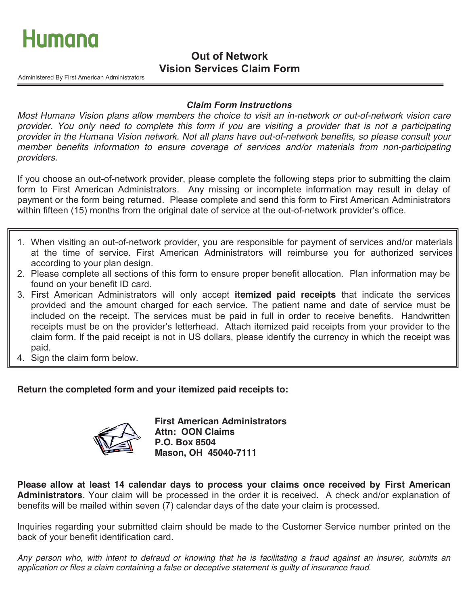

## *<u>Out of Network</u>* **Vision Services Claim Form**

Administered By First American Administrators

### **Claim Form Instructions**

Most Humana Vision plans allow members the choice to visit an in-network or out-of-network vision care provider. You only need to complete this form if you are visiting a provider that is not a participating provider in the Humana Vision network. Not all plans have out-of-network benefits, so please consult your member benefits information to ensure coverage of services and/or materials from non-participating providers.

If you choose an out-of-network provider, please complete the following steps prior to submitting the claim form to First American Administrators. Any missing or incomplete information may result in delay of payment or the form being returned. Please complete and send this form to First American Administrators within fifteen (15) months from the original date of service at the out-of-network provider's office.

- 1. When visiting an out-of-network provider, you are responsible for payment of services and/or materials at the time of service. First American Administrators will reimburse you for authorized services according to your plan design.
- 2. Please complete all sections of this form to ensure proper benefit allocation. Plan information may be found on your benefit ID card.
- 3. First American Administrators will only accept **itemized paid receipts** that indicate the services provided and the amount charged for each service. The patient name and date of service must be included on the receipt. The services must be paid in full in order to receive benefits. Handwritten receipts must be on the provider's letterhead. Attach itemized paid receipts from your provider to the claim form. If the paid receipt is not in US dollars, please identify the currency in which the receipt was paid.
- 4. Sign the claim form below.

### **Return the completed form and your itemized paid receipts to:**



**First American Administrators Attn: OON Claims P.O. Box 8504 Mason, OH 45040-7111** 

**Please allow at least 14 calendar days to process your claims once received by First American Administrators**. Your claim will be processed in the order it is received. A check and/or explanation of benefits will be mailed within seven (7) calendar days of the date your claim is processed.

Inquiries regarding your submitted claim should be made to the Customer Service number printed on the back of your benefit identification card.

Any person who, with intent to defraud or knowing that he is facilitating a fraud against an insurer, submits an application or files a claim containing a false or deceptive statement is guilty of insurance fraud.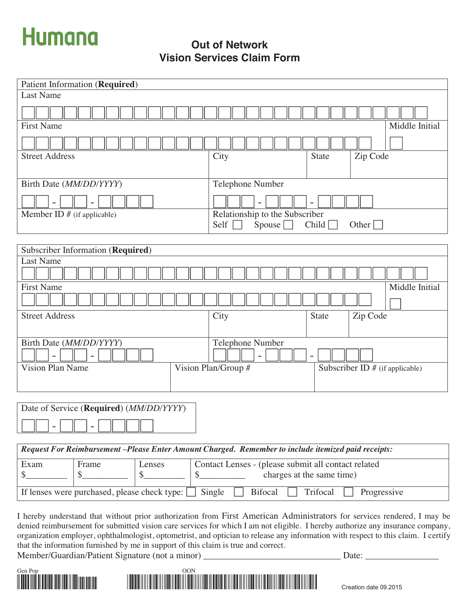# **Humana**

**Out of Network Vision Services Claim Form**

| Patient Information (Required)      |                                                                    |  |
|-------------------------------------|--------------------------------------------------------------------|--|
| <b>Last Name</b>                    |                                                                    |  |
|                                     |                                                                    |  |
| <b>First Name</b>                   | Middle Initial                                                     |  |
|                                     |                                                                    |  |
| <b>Street Address</b>               | Zip Code<br>City<br><b>State</b>                                   |  |
| Birth Date (MM/DD/YYYY)             | Telephone Number                                                   |  |
|                                     | $\qquad \qquad -$                                                  |  |
| Member ID $#$ (if applicable)       | Relationship to the Subscriber<br>Self<br>Child<br>Spouse<br>Other |  |
|                                     |                                                                    |  |
| Subscriber Information (Required)   |                                                                    |  |
| <b>Last Name</b>                    |                                                                    |  |
| <b>First Name</b><br>Middle Initial |                                                                    |  |
|                                     |                                                                    |  |
| <b>Street Address</b>               | City<br>Zip Code<br><b>State</b>                                   |  |
| Birth Date (MM/DD/YYYY)             | Telephone Number                                                   |  |
|                                     | $\equiv$                                                           |  |
| <b>Vision Plan Name</b>             | Vision Plan/Group #<br>Subscriber ID $#$ (if applicable)           |  |
|                                     |                                                                    |  |

| Date of Service (Required) (MM/DD/YYYY) |  |  |  |
|-----------------------------------------|--|--|--|
|                                         |  |  |  |

| Request For Reimbursement -Please Enter Amount Charged. Remember to include itemized paid receipts: |       |        |                                                                                  |
|-----------------------------------------------------------------------------------------------------|-------|--------|----------------------------------------------------------------------------------|
| Exam                                                                                                | Frame | Lenses | Contact Lenses - (please submit all contact related<br>charges at the same time) |
| If lenses were purchased, please check type:     Single<br>  Bifocal   Trifocal<br>Progressive      |       |        |                                                                                  |

I hereby understand that without prior authorization from First American Administrators for services rendered, I may be denied reimbursement for submitted vision care services for which I am not eligible. I hereby authorize any insurance company, organization employer, ophthalmologist, optometrist, and optician to release any information with respect to this claim. I certify that the information furnished by me in support of this claim is true and correct.

Member/Guardian/Patient Signature (not a minor) Date: